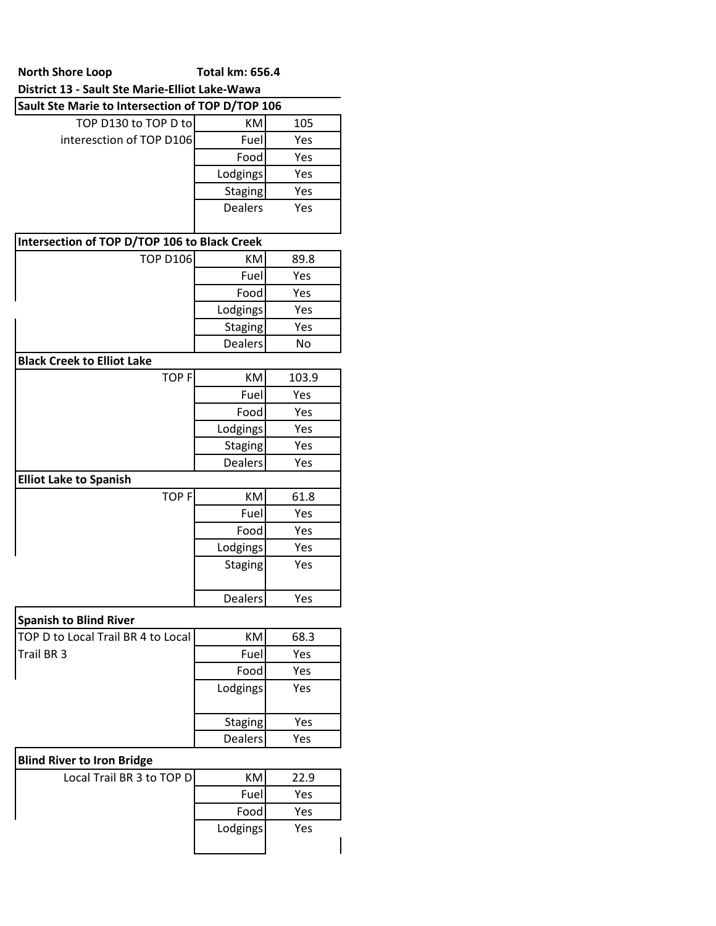### **North Shore Loop Total km: 656.4 District 13 - Sault Ste Marie-Elliot Lake-Wawa**

| Sault Ste Marie to Intersection of TOP D/TOP 106 |                |       |  |
|--------------------------------------------------|----------------|-------|--|
| TOP D130 to TOP D to                             | <b>KM</b>      | 105   |  |
| interesction of TOP D106                         | Fuel           | Yes   |  |
|                                                  | Food           | Yes   |  |
|                                                  | Lodgings       | Yes   |  |
|                                                  | <b>Staging</b> | Yes   |  |
|                                                  | <b>Dealers</b> | Yes   |  |
| Intersection of TOP D/TOP 106 to Black Creek     |                |       |  |
| <b>TOP D106</b>                                  | KM             | 89.8  |  |
|                                                  | Fuel           | Yes   |  |
|                                                  | Food           | Yes   |  |
|                                                  | Lodgings       | Yes   |  |
|                                                  | <b>Staging</b> | Yes   |  |
|                                                  | <b>Dealers</b> | No    |  |
| <b>Black Creek to Elliot Lake</b>                |                |       |  |
| <b>TOPF</b>                                      | <b>KM</b>      | 103.9 |  |
|                                                  | Fuel           | Yes   |  |
|                                                  | Food           | Yes   |  |
|                                                  | Lodgings       | Yes   |  |
|                                                  | <b>Staging</b> | Yes   |  |
|                                                  | <b>Dealers</b> | Yes   |  |
| <b>Elliot Lake to Spanish</b>                    |                |       |  |
| <b>TOPF</b>                                      | <b>KM</b>      | 61.8  |  |
|                                                  | Fuel           | Yes   |  |
|                                                  | Food           | Yes   |  |
|                                                  | Lodgings       | Yes   |  |
|                                                  | <b>Staging</b> | Yes   |  |
|                                                  | Dealers        | Yes   |  |
|                                                  |                |       |  |

## **Spanish to Blind River**

| <b>TOP D to Local Trail BR 4 to Local</b> | KM             | 68.3 |
|-------------------------------------------|----------------|------|
| Trail BR <sub>3</sub>                     | Fuel           | Yes  |
|                                           | Food           | Yes  |
|                                           | Lodgings       | Yes  |
|                                           | Staging        | Yes  |
|                                           | <b>Dealers</b> | Yes  |

# **Blind River to Iron Bridge**

| Local Trail BR 3 to TOP D | KM.      | 22.9 |
|---------------------------|----------|------|
|                           | Fuel     | Yes  |
|                           | Food     | Yes  |
|                           | Lodgings | Yes  |
|                           |          |      |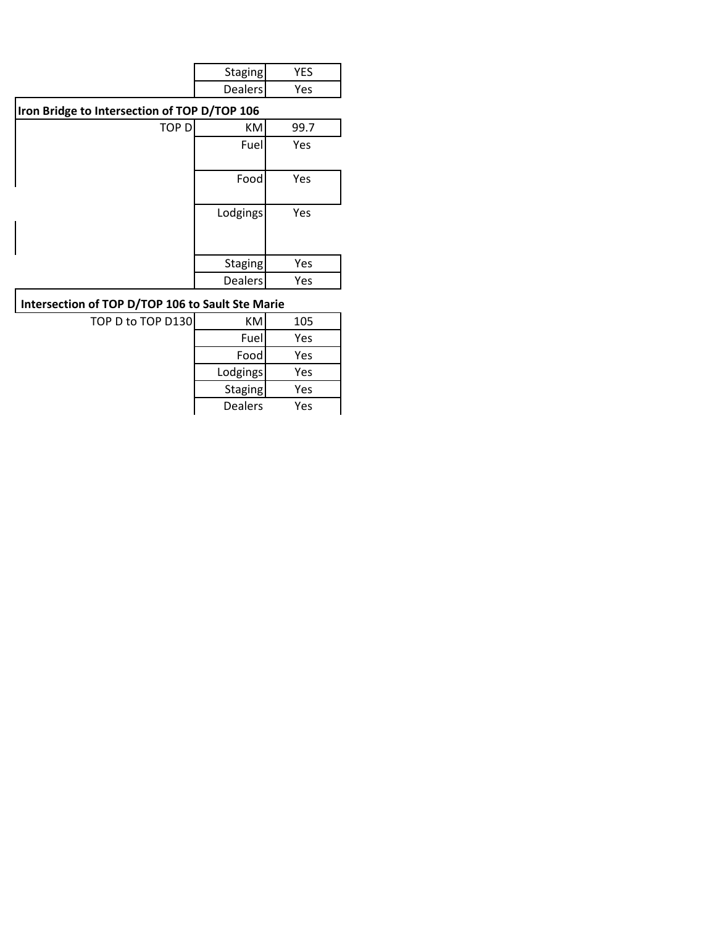| Staging |    |
|---------|----|
| Dealers | 7Α |

### **Iron Bridge to Intersection of TOP D/TOP 106**

|              | טטו וטו קט וטו וטווטוו |      |
|--------------|------------------------|------|
| <b>TOP D</b> | KM                     | 99.7 |
|              | Fuel                   | Yes  |
|              | Food                   | Yes  |
|              | Lodgings               | Yes  |
|              | <b>Staging</b>         | Yes  |
|              | <b>Dealers</b>         | Yes  |

### **Intersection of TOP D/TOP 106 to Sault Ste Marie**

| TOP D to TOP D130 | КM             | 105 |
|-------------------|----------------|-----|
|                   | Fuel           | Yes |
|                   | Food           | Yes |
|                   | Lodgings       | Yes |
|                   | <b>Staging</b> | Yes |
|                   | <b>Dealers</b> | Yes |
|                   |                |     |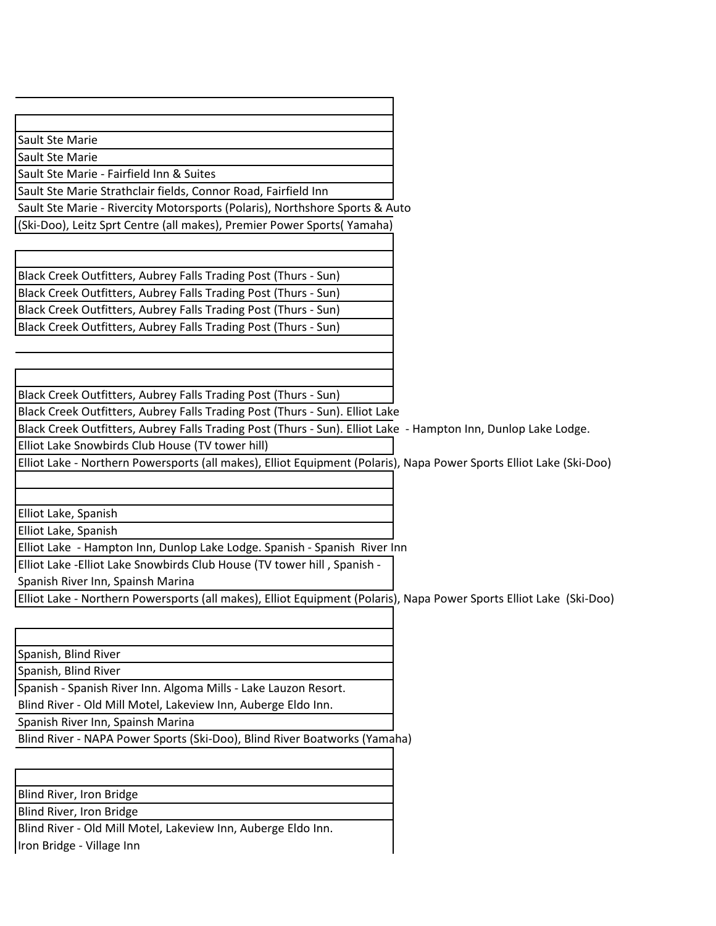Sault Ste Marie

Sault Ste Marie

Sault Ste Marie - Fairfield Inn & Suites

Sault Ste Marie Strathclair fields, Connor Road, Fairfield Inn

Sault Ste Marie - Rivercity Motorsports (Polaris), Northshore Sports & Auto

(Ski-Doo), Leitz Sprt Centre (all makes), Premier Power Sports( Yamaha)

Black Creek Outfitters, Aubrey Falls Trading Post (Thurs - Sun) Black Creek Outfitters, Aubrey Falls Trading Post (Thurs - Sun) Black Creek Outfitters, Aubrey Falls Trading Post (Thurs - Sun) Black Creek Outfitters, Aubrey Falls Trading Post (Thurs - Sun)

Black Creek Outfitters, Aubrey Falls Trading Post (Thurs - Sun)

Black Creek Outfitters, Aubrey Falls Trading Post (Thurs - Sun). Elliot Lake

Black Creek Outfitters, Aubrey Falls Trading Post (Thurs - Sun). Elliot Lake - Hampton Inn, Dunlop Lake Lodge.

Elliot Lake Snowbirds Club House (TV tower hill)

Elliot Lake - Northern Powersports (all makes), Elliot Equipment (Polaris), Napa Power Sports Elliot Lake (Ski-Doo)

Elliot Lake, Spanish

Elliot Lake, Spanish

Elliot Lake - Hampton Inn, Dunlop Lake Lodge. Spanish - Spanish River Inn

Elliot Lake -Elliot Lake Snowbirds Club House (TV tower hill , Spanish -

Spanish River Inn, Spainsh Marina

Elliot Lake - Northern Powersports (all makes), Elliot Equipment (Polaris), Napa Power Sports Elliot Lake (Ski-Doo)

Spanish, Blind River

Spanish, Blind River

Spanish - Spanish River Inn. Algoma Mills - Lake Lauzon Resort.

Blind River - Old Mill Motel, Lakeview Inn, Auberge Eldo Inn.

Spanish River Inn, Spainsh Marina

Blind River - NAPA Power Sports (Ski-Doo), Blind River Boatworks (Yamaha)

Blind River, Iron Bridge

Blind River, Iron Bridge

Blind River - Old Mill Motel, Lakeview Inn, Auberge Eldo Inn. Iron Bridge - Village Inn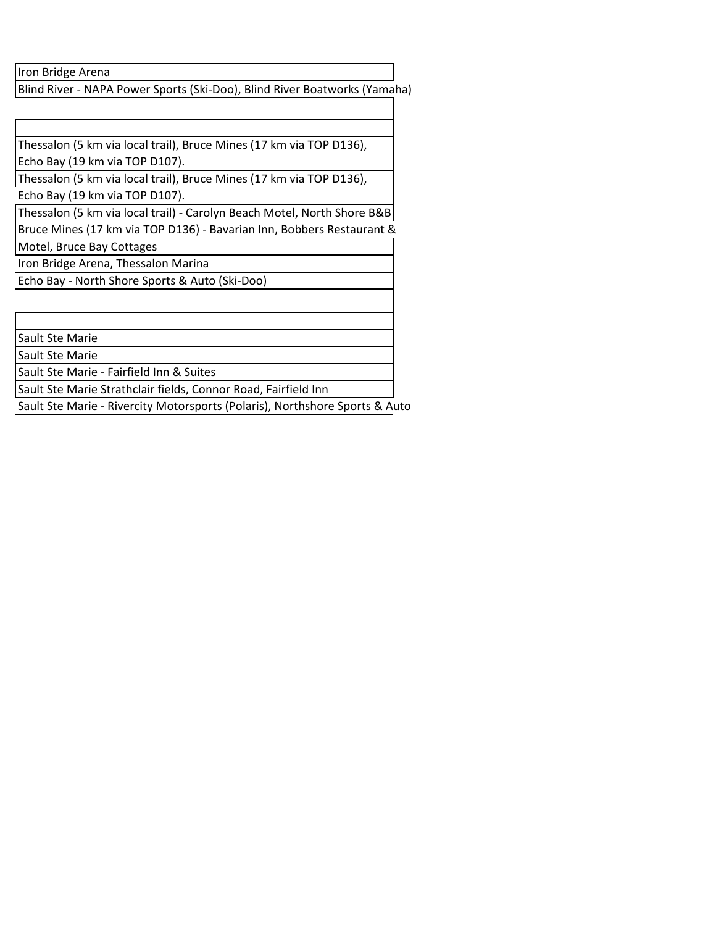Iron Bridge Arena

Blind River - NAPA Power Sports (Ski-Doo), Blind River Boatworks (Yamaha)

Thessalon (5 km via local trail), Bruce Mines (17 km via TOP D136), Echo Bay (19 km via TOP D107).

Thessalon (5 km via local trail), Bruce Mines (17 km via TOP D136), Echo Bay (19 km via TOP D107).

Thessalon (5 km via local trail) - Carolyn Beach Motel, North Shore B&B Bruce Mines (17 km via TOP D136) - Bavarian Inn, Bobbers Restaurant & Motel, Bruce Bay Cottages

Iron Bridge Arena, Thessalon Marina

Echo Bay - North Shore Sports & Auto (Ski-Doo)

Sault Ste Marie

Sault Ste Marie

Sault Ste Marie - Fairfield Inn & Suites

Sault Ste Marie Strathclair fields, Connor Road, Fairfield Inn

Sault Ste Marie - Rivercity Motorsports (Polaris), Northshore Sports & Auto